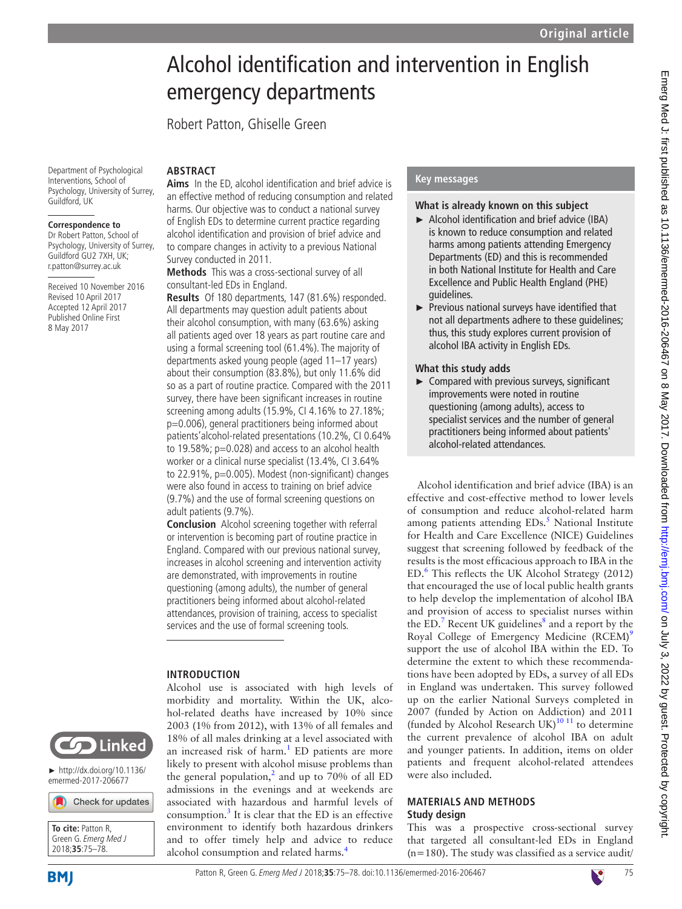# Alcohol identification and intervention in English emergency departments

Robert Patton, Ghiselle Green

Department of Psychological Interventions, School of Psychology, University of Surrey, Guildford, UK

#### **Correspondence to**

Dr Robert Patton, School of Psychology, University of Surrey, Guildford GU2 7XH, UK; r.patton@surrey.ac.uk

Received 10 November 2016 Revised 10 April 2017 Accepted 12 April 2017 Published Online First 8 May 2017

**ARSTRACT Aims** In the ED, alcohol identification and brief advice is an effective method of reducing consumption and related harms. Our objective was to conduct a national survey of English EDs to determine current practice regarding alcohol identification and provision of brief advice and to compare changes in activity to a previous National Survey conducted in 2011.

**Methods** This was a cross-sectional survey of all consultant-led EDs in England.

**Results** Of 180 departments, 147 (81.6%) responded. All departments may question adult patients about their alcohol consumption, with many (63.6%) asking all patients aged over 18 years as part routine care and using a formal screening tool (61.4%). The majority of departments asked young people (aged 11–17 years) about their consumption (83.8%), but only 11.6% did so as a part of routine practice. Compared with the 2011 survey, there have been significant increases in routine screening among adults (15.9%, CI 4.16% to 27.18%; p=0.006), general practitioners being informed about patients'alcohol-related presentations (10.2%, CI 0.64% to 19.58%; p=0.028) and access to an alcohol health worker or a clinical nurse specialist (13.4%, CI 3.64% to 22.91%, p=0.005). Modest (non-significant) changes were also found in access to training on brief advice (9.7%) and the use of formal screening questions on adult patients (9.7%).

**Conclusion** Alcohol screening together with referral or intervention is becoming part of routine practice in England. Compared with our previous national survey, increases in alcohol screening and intervention activity are demonstrated, with improvements in routine questioning (among adults), the number of general practitioners being informed about alcohol-related attendances, provision of training, access to specialist services and the use of formal screening tools.

Alcohol use is associated with high levels of morbidity and mortality. Within the UK, alcohol-related deaths have increased by 10% since 2003 (1% from 2012), with 13% of all females and 18% of all males drinking at a level associated with an increased risk of harm. $1$  ED patients are more likely to present with alcohol misuse problems than the general population,<sup>[2](#page-2-1)</sup> and up to 70% of all ED admissions in the evenings and at weekends are associated with hazardous and harmful levels of consumption. $3$  It is clear that the ED is an effective environment to identify both hazardous drinkers and to offer timely help and advice to reduce

alcohol consumption and related harms.[4](#page-3-1)

#### **Introduction**

**D** Linked

 $\blacktriangleright$  [http://dx.doi.org/10.1136/](http://dx.doi.org/10.1136/emermed-2017-206677) [emermed-2017-206677](http://dx.doi.org/10.1136/emermed-2017-206677)

Check for updates

**To cite:** Patton R, Green G. Emerg Med J 2018;**35**:75–78.

## **Key messages**

#### **What is already known on this subject**

- ► Alcohol identification and brief advice (IBA) is known to reduce consumption and related harms among patients attending Emergency Departments (ED) and this is recommended in both National Institute for Health and Care Excellence and Public Health England (PHE) guidelines.
- ► Previous national surveys have identified that not all departments adhere to these guidelines; thus, this study explores current provision of alcohol IBA activity in English EDs.

#### **What this study adds**

 $\triangleright$  Compared with previous surveys, significant improvements were noted in routine questioning (among adults), access to specialist services and the number of general practitioners being informed about patients' alcohol-related attendances.

Alcohol identification and brief advice (IBA) is an effective and cost-effective method to lower levels of consumption and reduce alcohol-related harm among patients attending EDs.<sup>[5](#page-3-2)</sup> National Institute for Health and Care Excellence (NICE) Guidelines suggest that screening followed by feedback of the results is the most efficacious approach to IBA in the ED.[6](#page-3-3) This reflects the UK Alcohol Strategy (2012) that encouraged the use of local public health grants to help develop the implementation of alcohol IBA and provision of access to specialist nurses within the  $ED$ .<sup>7</sup> Recent UK guidelines<sup>[8](#page-3-5)</sup> and a report by the Royal College of Emergency Medicine (RCEM)<sup>[9](#page-3-6)</sup> support the use of alcohol IBA within the ED. To determine the extent to which these recommendations have been adopted by EDs, a survey of all EDs in England was undertaken. This survey followed up on the earlier National Surveys completed in 2007 (funded by Action on Addiction) and 2011 (funded by Alcohol Research UK)<sup>10 11</sup> to determine the current prevalence of alcohol IBA on adult and younger patients. In addition, items on older patients and frequent alcohol-related attendees were also included.

#### **Materials and methods Study design**

This was a prospective cross-sectional survey that targeted all consultant-led EDs in England  $(n=180)$ . The study was classified as a service audit/



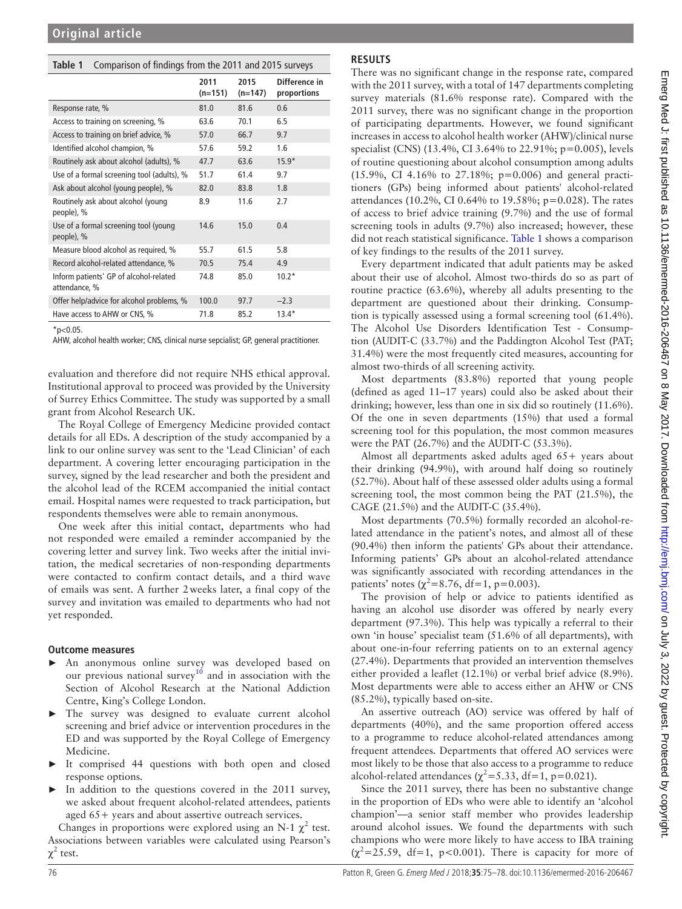<span id="page-1-0"></span>

| Comparison of findings from the 2011 and 2015 surveys<br>Table 1 |                   |                   |                              |
|------------------------------------------------------------------|-------------------|-------------------|------------------------------|
|                                                                  | 2011<br>$(n=151)$ | 2015<br>$(n=147)$ | Difference in<br>proportions |
| Response rate, %                                                 | 81.0              | 81.6              | 0.6                          |
| Access to training on screening, %                               | 63.6              | 70.1              | 6.5                          |
| Access to training on brief advice, %                            | 57.0              | 66.7              | 9.7                          |
| Identified alcohol champion, %                                   | 57.6              | 59.2              | 1.6                          |
| Routinely ask about alcohol (adults), %                          | 47.7              | 63.6              | $15.9*$                      |
| Use of a formal screening tool (adults), %                       | 51.7              | 61.4              | 9.7                          |
| Ask about alcohol (young people), %                              | 82.0              | 83.8              | 1.8                          |
| Routinely ask about alcohol (young<br>people), %                 | 8.9               | 11.6              | 2.7                          |
| Use of a formal screening tool (young<br>people), %              | 14.6              | 15.0              | 0.4                          |
| Measure blood alcohol as required, %                             | 55.7              | 61.5              | 5.8                          |
| Record alcohol-related attendance, %                             | 70.5              | 75.4              | 4.9                          |
| Inform patients' GP of alcohol-related<br>attendance, %          | 74.8              | 85.0              | $10.2*$                      |
| Offer help/advice for alcohol problems, %                        | 100.0             | 97.7              | $-2.3$                       |
| Have access to AHW or CNS, %                                     | 71.8              | 85.2              | $13.4*$                      |

 $*_{p<0.05}$ 

AHW, alcohol health worker; CNS, clinical nurse sepcialist; GP, general practitioner.

evaluation and therefore did not require NHS ethical approval. Institutional approval to proceed was provided by the University of Surrey Ethics Committee. The study was supported by a small grant from Alcohol Research UK.

The Royal College of Emergency Medicine provided contact details for all EDs. A description of the study accompanied by a link to our online survey was sent to the 'Lead Clinician' of each department. A covering letter encouraging participation in the survey, signed by the lead researcher and both the president and the alcohol lead of the RCEM accompanied the initial contact email. Hospital names were requested to track participation, but respondents themselves were able to remain anonymous.

One week after this initial contact, departments who had not responded were emailed a reminder accompanied by the covering letter and survey link. Two weeks after the initial invitation, the medical secretaries of non-responding departments were contacted to confirm contact details, and a third wave of emails was sent. A further 2weeks later, a final copy of the survey and invitation was emailed to departments who had not yet responded.

#### **Outcome measures**

- ► An anonymous online survey was developed based on our previous national survey<sup>[10](#page-3-7)</sup> and in association with the Section of Alcohol Research at the National Addiction Centre, King's College London.
- The survey was designed to evaluate current alcohol screening and brief advice or intervention procedures in the ED and was supported by the Royal College of Emergency Medicine.
- ► It comprised 44 questions with both open and closed response options.
- In addition to the questions covered in the 2011 survey, we asked about frequent alcohol-related attendees, patients aged 65+ years and about assertive outreach services.

Changes in proportions were explored using an N-1  $\chi^2$  test. Associations between variables were calculated using Pearson's  $\chi^2$  test.

### **Results**

There was no significant change in the response rate, compared with the 2011 survey, with a total of 147 departments completing survey materials (81.6% response rate). Compared with the 2011 survey, there was no significant change in the proportion of participating departments. However, we found significant increases in access to alcohol health worker (AHW)/clinical nurse specialist (CNS) (13.4%, CI 3.64% to 22.91%; p=0.005), levels of routine questioning about alcohol consumption among adults (15.9%, CI 4.16% to 27.18%; p=0.006) and general practitioners (GPs) being informed about patients' alcohol-related attendances (10.2%, CI 0.64% to 19.58%; p=0.028). The rates of access to brief advice training (9.7%) and the use of formal screening tools in adults (9.7%) also increased; however, these did not reach statistical significance. [Table](#page-1-0) 1 shows a comparison of key findings to the results of the 2011 survey.

Every department indicated that adult patients may be asked about their use of alcohol. Almost two-thirds do so as part of routine practice (63.6%), whereby all adults presenting to the department are questioned about their drinking. Consumption is typically assessed using a formal screening tool (61.4%). The Alcohol Use Disorders Identification Test - Consumption (AUDIT-C (33.7%) and the Paddington Alcohol Test (PAT; 31.4%) were the most frequently cited measures, accounting for almost two-thirds of all screening activity.

Most departments (83.8%) reported that young people (defined as aged 11–17 years) could also be asked about their drinking; however, less than one in six did so routinely (11.6%). Of the one in seven departments (15%) that used a formal screening tool for this population, the most common measures were the PAT (26.7%) and the AUDIT-C (53.3%).

Almost all departments asked adults aged 65+ years about their drinking (94.9%), with around half doing so routinely (52.7%). About half of these assessed older adults using a formal screening tool, the most common being the PAT (21.5%), the CAGE (21.5%) and the AUDIT-C (35.4%).

Most departments (70.5%) formally recorded an alcohol-related attendance in the patient's notes, and almost all of these (90.4%) then inform the patients' GPs about their attendance. Informing patients' GPs about an alcohol-related attendance was significantly associated with recording attendances in the patients' notes ( $\chi^2$ =8.76, df=1, p=0.003).

The provision of help or advice to patients identified as having an alcohol use disorder was offered by nearly every department (97.3%). This help was typically a referral to their own 'in house' specialist team (51.6% of all departments), with about one-in-four referring patients on to an external agency (27.4%). Departments that provided an intervention themselves either provided a leaflet (12.1%) or verbal brief advice (8.9%). Most departments were able to access either an AHW or CNS (85.2%), typically based on-site.

An assertive outreach (AO) service was offered by half of departments (40%), and the same proportion offered access to a programme to reduce alcohol-related attendances among frequent attendees. Departments that offered AO services were most likely to be those that also access to a programme to reduce alcohol-related attendances ( $\chi^2$ =5.33, df=1, p=0.021).

Since the 2011 survey, there has been no substantive change in the proportion of EDs who were able to identify an 'alcohol champion'—a senior staff member who provides leadership around alcohol issues. We found the departments with such champions who were more likely to have access to IBA training  $(\chi^2 = 25.59, df = 1, p < 0.001)$ . There is capacity for more of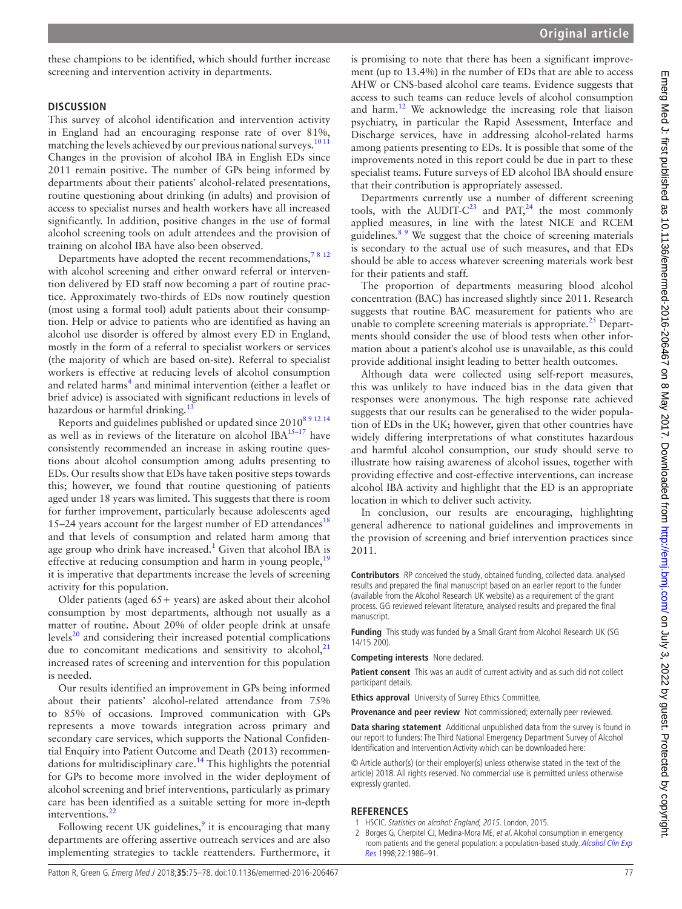these champions to be identified, which should further increase screening and intervention activity in departments.

#### **Discussion**

This survey of alcohol identification and intervention activity in England had an encouraging response rate of over 81%, matching the levels achieved by our previous national surveys.<sup>1011</sup> Changes in the provision of alcohol IBA in English EDs since 2011 remain positive. The number of GPs being informed by departments about their patients' alcohol-related presentations, routine questioning about drinking (in adults) and provision of access to specialist nurses and health workers have all increased significantly. In addition, positive changes in the use of formal alcohol screening tools on adult attendees and the provision of training on alcohol IBA have also been observed.

Departments have adopted the recent recommendations, $7812$ with alcohol screening and either onward referral or intervention delivered by ED staff now becoming a part of routine practice. Approximately two-thirds of EDs now routinely question (most using a formal tool) adult patients about their consumption. Help or advice to patients who are identified as having an alcohol use disorder is offered by almost every ED in England, mostly in the form of a referral to specialist workers or services (the majority of which are based on-site). Referral to specialist workers is effective at reducing levels of alcohol consumption and related harms<sup>[4](#page-3-1)</sup> and minimal intervention (either a leaflet or brief advice) is associated with significant reductions in levels of hazardous or harmful drinking.<sup>[13](#page-3-8)</sup>

Reports and guidelines published or updated since  $2010^{8.9}$  12 14 as well as in reviews of the literature on alcohol IB[A15–17](#page-3-9) have consistently recommended an increase in asking routine questions about alcohol consumption among adults presenting to EDs. Our results show that EDs have taken positive steps towards this; however, we found that routine questioning of patients aged under 18 years was limited. This suggests that there is room for further improvement, particularly because adolescents aged 15–24 years account for the largest number of ED attendances<sup>[18](#page-3-10)</sup> and that levels of consumption and related harm among that age group who drink have increased.<sup>[1](#page-2-0)</sup> Given that alcohol IBA is effective at reducing consumption and harm in young people,<sup>[19](#page-3-11)</sup> it is imperative that departments increase the levels of screening activity for this population.

Older patients (aged  $65 +$  years) are asked about their alcohol consumption by most departments, although not usually as a matter of routine. About 20% of older people drink at unsafe levels<sup>20</sup> and considering their increased potential complications due to concomitant medications and sensitivity to alcohol, $^{21}$  $^{21}$  $^{21}$ increased rates of screening and intervention for this population is needed.

Our results identified an improvement in GPs being informed about their patients' alcohol-related attendance from 75% to 85% of occasions. Improved communication with GPs represents a move towards integration across primary and secondary care services, which supports the National Confidential Enquiry into Patient Outcome and Death (2013) recommen-dations for multidisciplinary care.<sup>[14](#page-3-14)</sup> This highlights the potential for GPs to become more involved in the wider deployment of alcohol screening and brief interventions, particularly as primary care has been identified as a suitable setting for more in-depth interventions.<sup>[22](#page-3-15)</sup>

Following recent UK guidelines, $9$  it is encouraging that many departments are offering assertive outreach services and are also implementing strategies to tackle reattenders. Furthermore, it

is promising to note that there has been a significant improvement (up to 13.4%) in the number of EDs that are able to access AHW or CNS-based alcohol care teams. Evidence suggests that access to such teams can reduce levels of alcohol consumption and harm.[12](#page-3-16) We acknowledge the increasing role that liaison psychiatry, in particular the Rapid Assessment, Interface and Discharge services, have in addressing alcohol-related harms among patients presenting to EDs. It is possible that some of the improvements noted in this report could be due in part to these specialist teams. Future surveys of ED alcohol IBA should ensure that their contribution is appropriately assessed.

Departments currently use a number of different screening tools, with the AUDIT- $C^{23}$  and PAT,<sup>24</sup> the most commonly applied measures, in line with the latest NICE and RCEM guidelines. $89$  We suggest that the choice of screening materials is secondary to the actual use of such measures, and that EDs should be able to access whatever screening materials work best for their patients and staff.

The proportion of departments measuring blood alcohol concentration (BAC) has increased slightly since 2011. Research suggests that routine BAC measurement for patients who are unable to complete screening materials is appropriate.<sup>25</sup> Departments should consider the use of blood tests when other information about a patient's alcohol use is unavailable, as this could provide additional insight leading to better health outcomes.

Although data were collected using self-report measures, this was unlikely to have induced bias in the data given that responses were anonymous. The high response rate achieved suggests that our results can be generalised to the wider population of EDs in the UK; however, given that other countries have widely differing interpretations of what constitutes hazardous and harmful alcohol consumption, our study should serve to illustrate how raising awareness of alcohol issues, together with providing effective and cost-effective interventions, can increase alcohol IBA activity and highlight that the ED is an appropriate location in which to deliver such activity.

In conclusion, our results are encouraging, highlighting general adherence to national guidelines and improvements in the provision of screening and brief intervention practices since 2011.

**Contributors** RP conceived the study, obtained funding, collected data. analysed results and prepared the final manuscript based on an earlier report to the funder (available from the Alcohol Research UK website) as a requirement of the grant process. GG reviewed relevant literature, analysed results and prepared the final manuscript.

**Funding** This study was funded by a Small Grant from Alcohol Research UK (SG 14/15 200).

**Competing interests** None declared.

Patient consent This was an audit of current activity and as such did not collect participant details.

**Ethics approval** University of Surrey Ethics Committee.

**Provenance and peer review** Not commissioned; externally peer reviewed.

**Data sharing statement** Additional unpublished data from the survey is found in our report to funders: The Third National Emergency Department Survey of Alcohol Identification and Intervention Activity which can be downloaded here:

© Article author(s) (or their employer(s) unless otherwise stated in the text of the article) 2018. All rights reserved. No commercial use is permitted unless otherwise expressly granted.

#### **References**

- <span id="page-2-0"></span>1 HSCIC. Statistics on alcohol: England, 2015. London, 2015.
- <span id="page-2-1"></span>2 Borges G, Cherpitel CJ, Medina-Mora ME, et al. Alcohol consumption in emergency room patients and the general population: a population-based study. Alcohol Clin Exp Res 1998;22:1986–91.